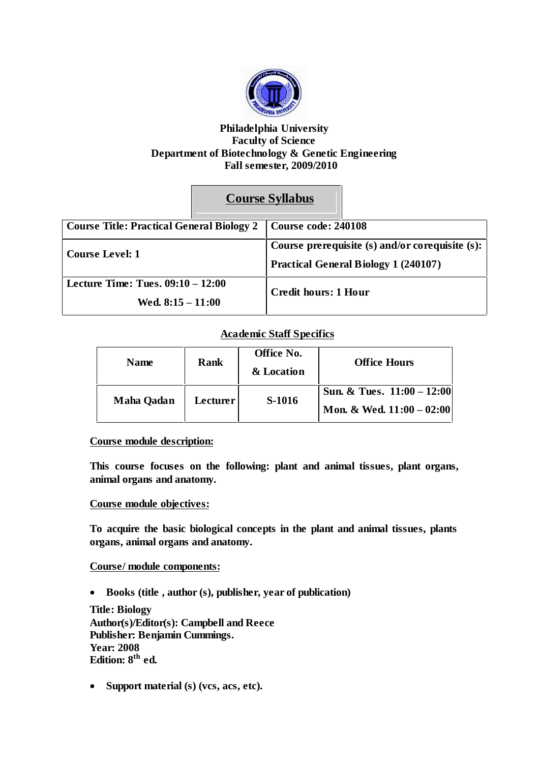

### **Philadelphia University Faculty of Science Department of Biotechnology & Genetic Engineering Fall semester, 2009/2010**

# **Course Syllabus**

| Course Title: Practical General Biology 2 |  | Course code: 240108                                                                            |  |
|-------------------------------------------|--|------------------------------------------------------------------------------------------------|--|
| Course Level: 1                           |  | Course prerequisite (s) and/or corequisite (s):<br><b>Practical General Biology 1 (240107)</b> |  |
| Lecture Time: Tues. $09:10 - 12:00$       |  | <b>Credit hours: 1 Hour</b>                                                                    |  |
| Wed. $8:15 - 11:00$                       |  |                                                                                                |  |

## **Academic Staff Specifics**

| <b>Name</b>       | <b>Rank</b> | Office No.<br>& Location | <b>Office Hours</b>                                         |
|-------------------|-------------|--------------------------|-------------------------------------------------------------|
| <b>Maha Qadan</b> | Lecturer    | S-1016                   | Sun. & Tues. $11:00 - 12:00$<br>Mon. & Wed. $11:00 - 02:00$ |

### **Course module description:**

**This course focuses on the following: plant and animal tissues, plant organs, animal organs and anatomy.**

#### **Course module objectives:**

**To acquire the basic biological concepts in the plant and animal tissues, plants organs, animal organs and anatomy.**

### **Course/ module components:**

**Books (title , author (s), publisher, year of publication)**

**Title: Biology Author(s)/Editor(s): Campbell and Reece Publisher: Benjamin Cummings. Year: 2008 Edition: 8 th ed.**

**Support material (s) (vcs, acs, etc).**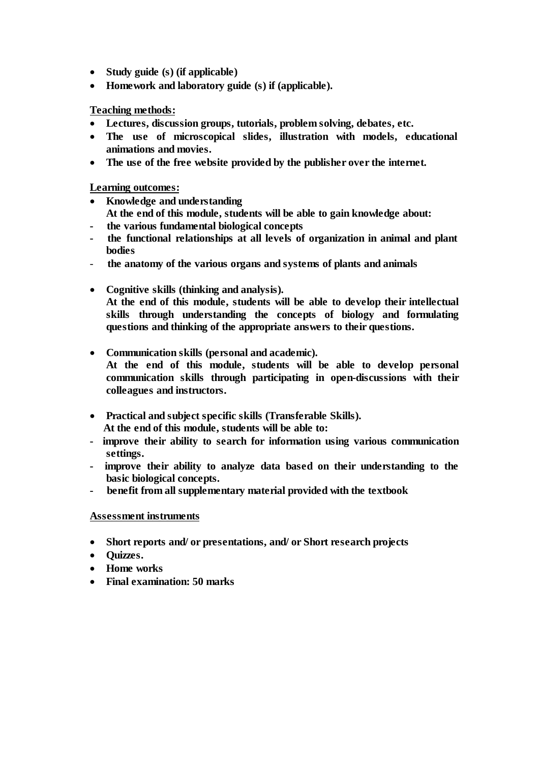- **Study guide (s) (if applicable)**
- **Homework and laboratory guide (s) if (applicable).**

**Teaching methods:**

- **Lectures, discussion groups, tutorials, problem solving, debates, etc.**
- **The use of microscopical slides, illustration with models, educational animations and movies.**
- **The use of the free website provided by the publisher over the internet.**

**Learning outcomes:**

- **Knowledge and understanding At the end of this module, students will be able to gain knowledge about:**
- **- the various fundamental biological concepts**
- **- the functional relationships at all levels of organization in animal and plant bodies**
- **the anatomy of the various organs and systems of plants and animals**
- **Cognitive skills (thinking and analysis). At the end of this module, students will be able to develop their intellectual skills through understanding the concepts of biology and formulating questions and thinking of the appropriate answers to their questions.**
- **Communication skills (personal and academic).**
	- **At the end of this module, students will be able to develop personal communication skills through participating in open-discussions with their colleagues and instructors.**
- **Practical and subject specific skills (Transferable Skills). At the end of this module, students will be able to:**
- **- improve their ability to search for information using various communication settings.**
- **- improve their ability to analyze data based on their understanding to the basic biological concepts.**
- **- benefit from all supplementary material provided with the textbook**

#### **Assessment instruments**

- **Short reports and/ or presentations, and/ or Short research projects**
- **•** Ouizzes.
- **Home works**
- **Final examination: 50 marks**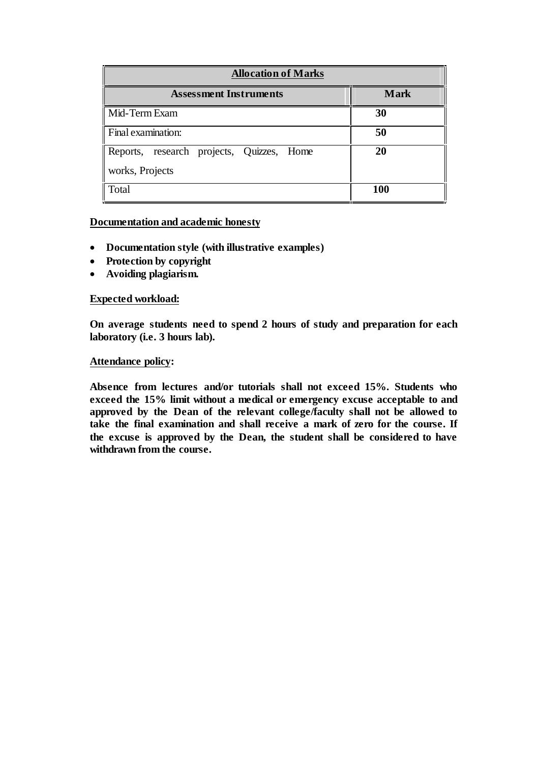| <b>Allocation of Marks</b>                |             |  |
|-------------------------------------------|-------------|--|
| <b>Assessment Instruments</b>             | <b>Mark</b> |  |
| Mid-Term Exam<br>30                       |             |  |
| Final examination:                        | 50          |  |
| Reports, research projects, Quizzes, Home | 20          |  |
| works, Projects                           |             |  |
| Total                                     | <b>100</b>  |  |

#### **Documentation and academic honesty**

- **Documentation style (with illustrative examples)**
- **Protection by copyright**
- **Avoiding plagiarism.**

#### **Expected workload:**

**On average students need to spend 2 hours of study and preparation for each laboratory (i.e. 3 hours lab).**

#### **Attendance policy:**

**Absence from lectures and/or tutorials shall not exceed 15%. Students who exceed the 15% limit without a medical or emergency excuse acceptable to and approved by the Dean of the relevant college/faculty shall not be allowed to take the final examination and shall receive a mark of zero for the course. If the excuse is approved by the Dean, the student shall be considered to have withdrawn from the course.**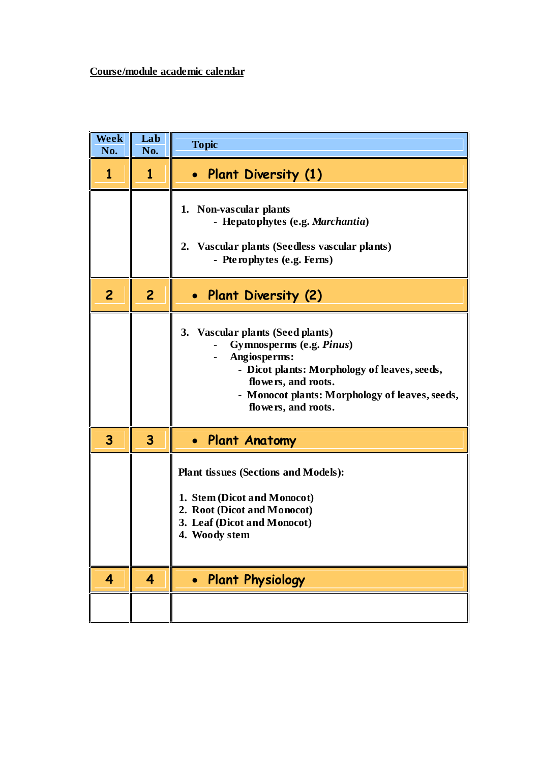| <b>Week</b><br>No. | Lab<br>No.     | <b>Topic</b>                                                                                                                                                                                                                                 |
|--------------------|----------------|----------------------------------------------------------------------------------------------------------------------------------------------------------------------------------------------------------------------------------------------|
| 1                  | 1              | Plant Diversity (1)<br>$\bullet$                                                                                                                                                                                                             |
|                    |                | 1. Non-vascular plants<br>- Hepatophytes (e.g. Marchantia)<br>2. Vascular plants (Seedless vascular plants)<br>- Pterophytes (e.g. Ferns)                                                                                                    |
| $\overline{c}$     | $\overline{c}$ | • Plant Diversity (2)                                                                                                                                                                                                                        |
|                    |                | 3. Vascular plants (Seed plants)<br>Gymnosperms (e.g. Pinus)<br>Angiosperms:<br>- Dicot plants: Morphology of leaves, seeds,<br>flowers, and roots.<br>Monocot plants: Morphology of leaves, seeds,<br>$\blacksquare$<br>flowers, and roots. |
| 3                  | 3              | • Plant Anatomy                                                                                                                                                                                                                              |
|                    |                | <b>Plant tissues (Sections and Models):</b><br>1. Stem (Dicot and Monocot)<br>2. Root (Dicot and Monocot)<br>3. Leaf (Dicot and Monocot)<br>4. Woody stem                                                                                    |
| 4                  | 4              | <b>Plant Physiology</b><br>$\bullet$                                                                                                                                                                                                         |
|                    |                |                                                                                                                                                                                                                                              |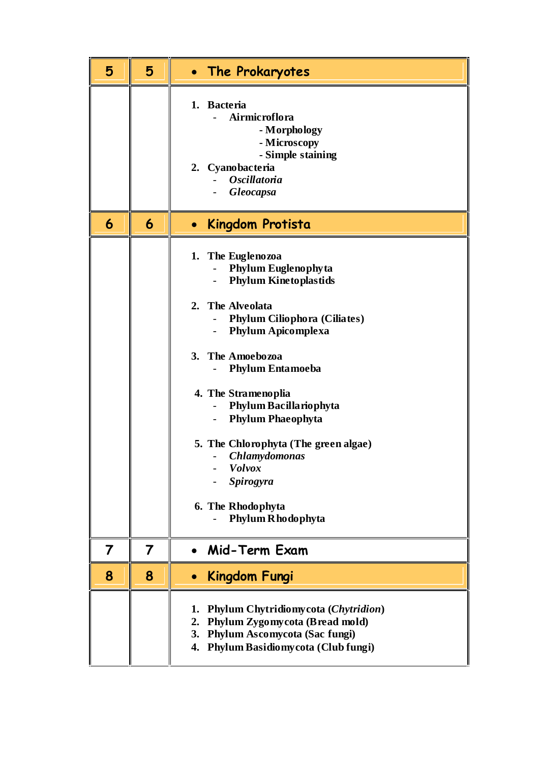| 5 | 5 | • The Prokaryotes                                                                                                                                                                                                                                                                                                                                                                                                                                        |
|---|---|----------------------------------------------------------------------------------------------------------------------------------------------------------------------------------------------------------------------------------------------------------------------------------------------------------------------------------------------------------------------------------------------------------------------------------------------------------|
|   |   | 1. Bacteria<br>Airmicroflora<br>- Morphology<br>- Microscopy<br>- Simple staining<br>2. Cyanobacteria<br><b>Oscillatoria</b><br><b>Gleocapsa</b>                                                                                                                                                                                                                                                                                                         |
| 6 | 6 | Kingdom Protista<br>$\bullet$                                                                                                                                                                                                                                                                                                                                                                                                                            |
|   |   | 1. The Euglenozoa<br><b>Phylum Euglenophyta</b><br><b>Phylum Kinetoplastids</b><br><b>The Alveolata</b><br>2.<br><b>Phylum Ciliophora (Ciliates)</b><br><b>Phylum Apicomplexa</b><br>The Amoebozoa<br>3.<br><b>Phylum Entamoeba</b><br>4. The Stramenoplia<br>Phylum Bacillariophyta<br><b>Phylum Phaeophyta</b><br>5. The Chlorophyta (The green algae)<br><b>Chlamydomonas</b><br><b>Volvox</b><br>Spirogyra<br>6. The Rhodophyta<br>Phylum Rhodophyta |
| 7 | 7 | Mid-Term Exam                                                                                                                                                                                                                                                                                                                                                                                                                                            |
| 8 | 8 | Kingdom Fungi<br>$\bullet$                                                                                                                                                                                                                                                                                                                                                                                                                               |
|   |   | Phylum Chytridiomycota (Chytridion)<br>1.<br>Phylum Zygomycota (Bread mold)<br>2.<br><b>Phylum Ascomycota (Sac fungi)</b><br>3.<br>Phylum Basidiomy cota (Club fungi)<br>4.                                                                                                                                                                                                                                                                              |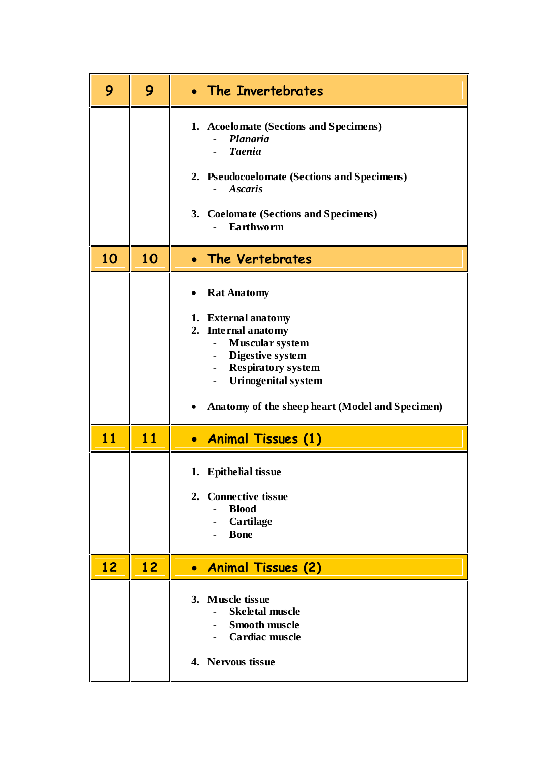| 9  | 9  | • The Invertebrates                                                                                                                                                                                                                                                  |
|----|----|----------------------------------------------------------------------------------------------------------------------------------------------------------------------------------------------------------------------------------------------------------------------|
|    |    | 1. Acoelomate (Sections and Specimens)<br>Planaria<br><b>Taenia</b><br>2. Pseudocoelomate (Sections and Specimens)<br><b>Ascaris</b><br>3. Coelomate (Sections and Specimens)<br>Earthworm                                                                           |
| 10 | 10 | • The Vertebrates                                                                                                                                                                                                                                                    |
|    |    | <b>Rat Anatomy</b><br>1. External anatomy<br>2. Internal anatomy<br>Muscular system<br>Digestive system<br>$\overline{\phantom{a}}$<br><b>Respiratory system</b><br>$\sim$ 10 $\pm$<br><b>Urinogenital system</b><br>Anatomy of the sheep heart (Model and Specimen) |
| 11 | 11 | • Animal Tissues (1)                                                                                                                                                                                                                                                 |
|    |    | 1. Epithelial tissue<br>2. Connective tissue<br><b>Blood</b><br>$\overline{a}$<br>Cartilage<br><b>B</b> one                                                                                                                                                          |
| 12 | 12 | • Animal Tissues (2)                                                                                                                                                                                                                                                 |
|    |    | 3. Muscle tissue<br><b>Skeletal muscle</b><br><b>Smooth muscle</b><br>- Cardiac muscle<br>4. Nervous tissue                                                                                                                                                          |